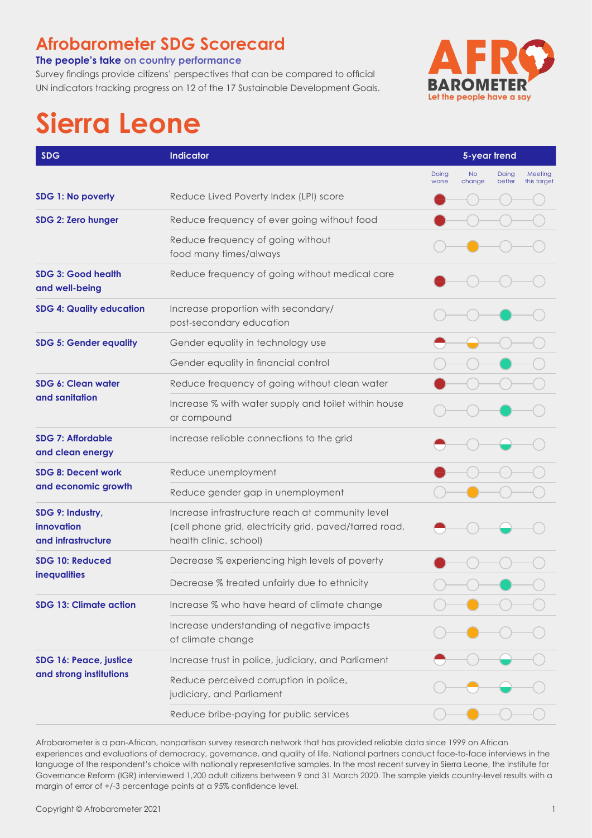## **Afrobarometer SDG Scorecard**

#### **The people's take on country performance**

Survey findings provide citizens' perspectives that can be compared to official UN indicators tracking progress on 12 of the 17 Sustainable Development Goals.



# **Sierra Leone**

| <b>SDG</b>                                           | Indicator                                                                                                                            | 5-year trend   |                     |                 |                        |
|------------------------------------------------------|--------------------------------------------------------------------------------------------------------------------------------------|----------------|---------------------|-----------------|------------------------|
|                                                      |                                                                                                                                      | Doing<br>worse | <b>No</b><br>change | Doing<br>better | Meeting<br>this target |
| SDG 1: No poverty                                    | Reduce Lived Poverty Index (LPI) score                                                                                               |                |                     |                 |                        |
| SDG 2: Zero hunger                                   | Reduce frequency of ever going without food                                                                                          |                |                     |                 |                        |
|                                                      | Reduce frequency of going without<br>food many times/always                                                                          |                |                     |                 |                        |
| SDG 3: Good health<br>and well-being                 | Reduce frequency of going without medical care                                                                                       |                |                     |                 |                        |
| <b>SDG 4: Quality education</b>                      | Increase proportion with secondary/<br>post-secondary education                                                                      |                |                     |                 |                        |
| <b>SDG 5: Gender equality</b>                        | Gender equality in technology use                                                                                                    |                |                     |                 |                        |
|                                                      | Gender equality in financial control                                                                                                 |                |                     |                 |                        |
| SDG 6: Clean water<br>and sanitation                 | Reduce frequency of going without clean water                                                                                        |                |                     |                 |                        |
|                                                      | Increase % with water supply and toilet within house<br>or compound                                                                  |                |                     |                 |                        |
| <b>SDG 7: Affordable</b><br>and clean energy         | Increase reliable connections to the grid                                                                                            |                |                     |                 |                        |
| <b>SDG 8: Decent work</b><br>and economic growth     | Reduce unemployment                                                                                                                  |                |                     |                 |                        |
|                                                      | Reduce gender gap in unemployment                                                                                                    |                |                     |                 |                        |
| SDG 9: Industry,<br>innovation<br>and infrastructure | Increase infrastructure reach at community level<br>(cell phone grid, electricity grid, paved/tarred road,<br>health clinic, school) |                |                     |                 |                        |
| SDG 10: Reduced<br><b>inequalities</b>               | Decrease % experiencing high levels of poverty                                                                                       |                |                     |                 |                        |
|                                                      | Decrease % treated unfairly due to ethnicity                                                                                         |                |                     |                 |                        |
| <b>SDG 13: Climate action</b>                        | Increase % who have heard of climate change                                                                                          |                |                     |                 |                        |
|                                                      | Increase understanding of negative impacts<br>of climate change                                                                      |                |                     |                 |                        |
| SDG 16: Peace, justice<br>and strong institutions    | Increase trust in police, judiciary, and Parliament                                                                                  |                |                     |                 |                        |
|                                                      | Reduce perceived corruption in police,<br>judiciary, and Parliament                                                                  |                |                     |                 |                        |
|                                                      | Reduce bribe-paying for public services                                                                                              |                |                     |                 |                        |

Afrobarometer is a pan-African, nonpartisan survey research network that has provided reliable data since 1999 on African experiences and evaluations of democracy, governance, and quality of life. National partners conduct face-to-face interviews in the language of the respondent's choice with nationally representative samples. In the most recent survey in Sierra Leone, the Institute for Governance Reform (IGR) interviewed 1,200 adult citizens between 9 and 31 March 2020. The sample yields country-level results with a margin of error of +/-3 percentage points at a 95% confidence level.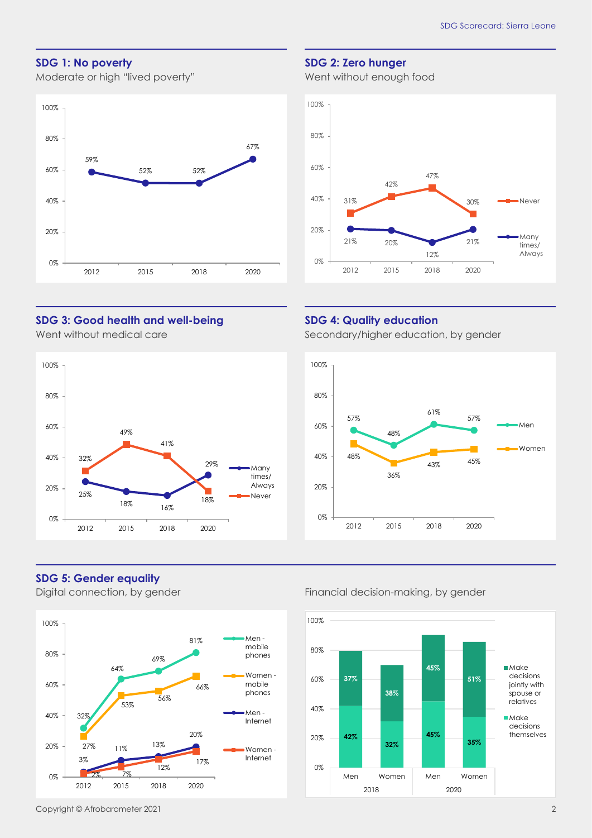#### **SDG 1: No poverty**

Moderate or high "lived poverty"



#### **SDG 2: Zero hunger**

Went without enough food



#### **SDG 3: Good health and well-being**

Went without medical care



### **SDG 5: Gender equality**



#### **SDG 4: Quality education**

Secondary/higher education, by gender



#### Digital connection, by gender Financial decision-making, by gender

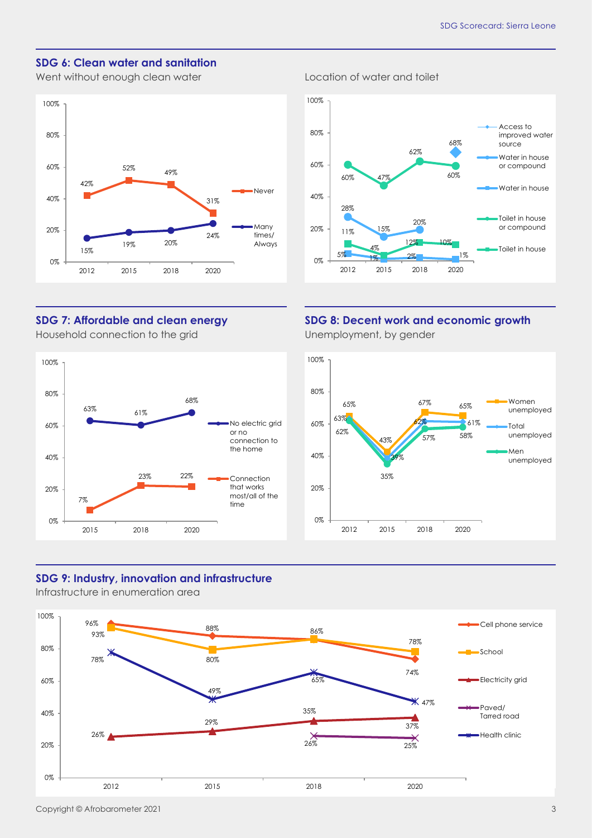#### **SDG 6: Clean water and sanitation**

Went without enough clean water **Location** cleater and toilet





#### **SDG 7: Affordable and clean energy** Household connection to the grid



#### **SDG 8: Decent work and economic growth** Unemployment, by gender



#### **SDG 9: Industry, innovation and infrastructure**

Infrastructure in enumeration area



Copyright © Afrobarometer 2021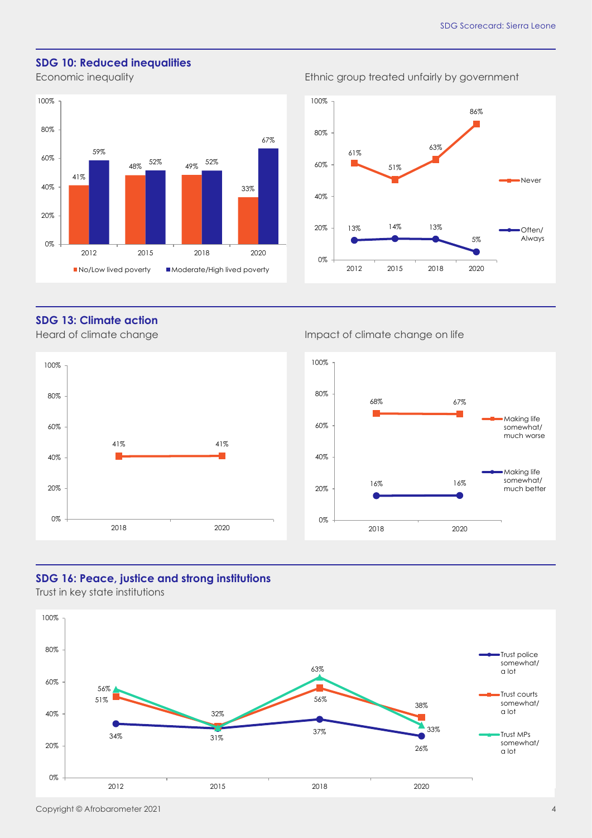#### **SDG 10: Reduced inequalities**

Economic inequality **Example 2018** Ethnic group treated unfairly by government





#### **SDG 13: Climate action**



#### Heard of climate change Impact of climate change on life



#### **SDG 16: Peace, justice and strong institutions**

Trust in key state institutions

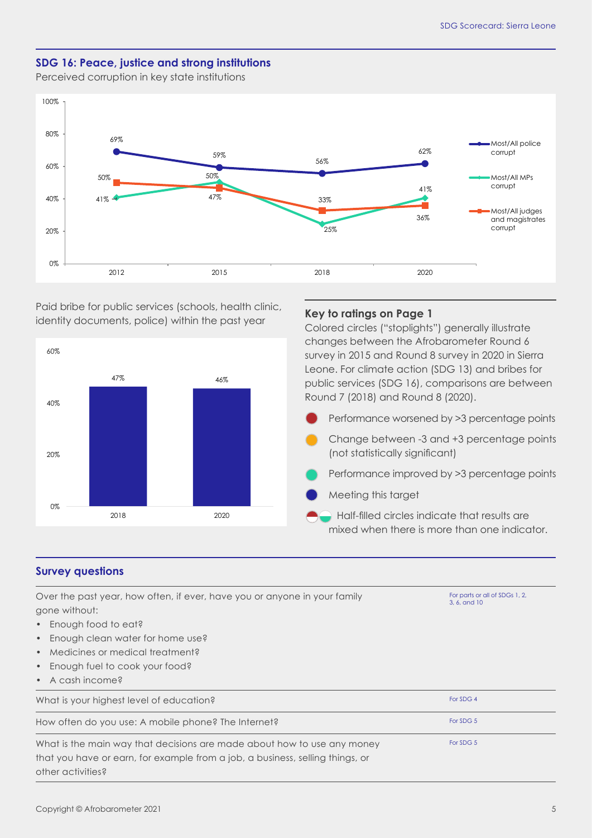#### **SDG 16: Peace, justice and strong institutions**

Perceived corruption in key state institutions



Paid bribe for public services (schools, health clinic, identity documents, police) within the past year



#### **Key to ratings on Page 1**

Colored circles ("stoplights") generally illustrate changes between the Afrobarometer Round 6 survey in 2015 and Round 8 survey in 2020 in Sierra Leone. For climate action (SDG 13) and bribes for public services (SDG 16), comparisons are between Round 7 (2018) and Round 8 (2020).

Performance worsened by >3 percentage points

- Change between -3 and +3 percentage points (not statistically significant)
- Performance improved by >3 percentage points
- Meeting this target
- Half-filled circles indicate that results are mixed when there is more than one indicator.

#### **Survey questions**

| Over the past year, how often, if ever, have you or anyone in your family     | For parts or all of SDGs 1, 2,<br>3, 6, and 10 |  |  |  |
|-------------------------------------------------------------------------------|------------------------------------------------|--|--|--|
| gone without:                                                                 |                                                |  |  |  |
| • Enough food to eat?                                                         |                                                |  |  |  |
| Enough clean water for home use?<br>$\bullet$                                 |                                                |  |  |  |
| Medicines or medical treatment?<br>$\bullet$                                  |                                                |  |  |  |
| Enough fuel to cook your food?<br>$\bullet$                                   |                                                |  |  |  |
| $\bullet$ A cash income?                                                      |                                                |  |  |  |
| What is your highest level of education?                                      | For SDG 4                                      |  |  |  |
| How often do you use: A mobile phone? The Internet?                           | For SDG 5                                      |  |  |  |
| What is the main way that decisions are made about how to use any money       | For SDG 5                                      |  |  |  |
| that you have or earn, for example from a job, a business, selling things, or |                                                |  |  |  |
| other activities?                                                             |                                                |  |  |  |